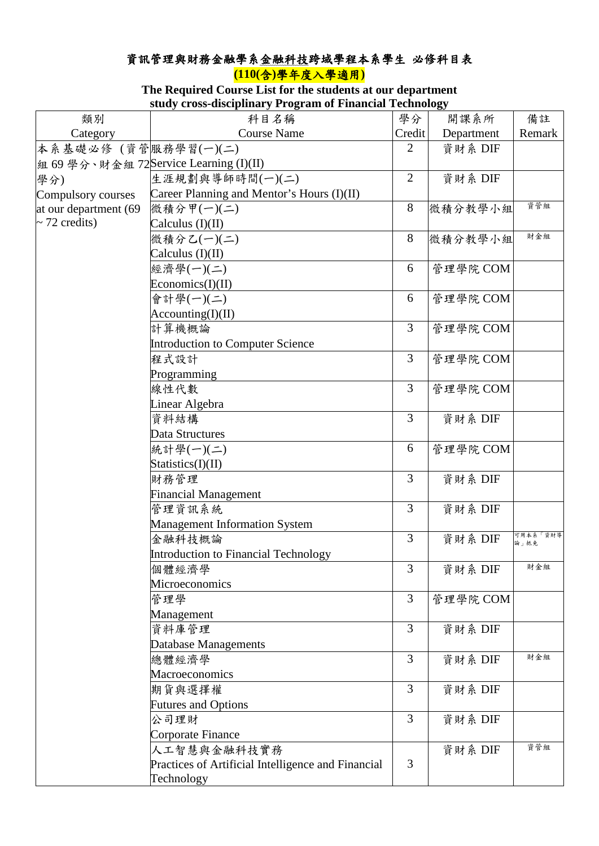## 資訊管理與財務金融學系金融科技跨域學程本系學生 必修科目表 **(110(**含**)**學年度入學適用**)**

## **The Required Course List for the students at our department study cross-disciplinary Program of Financial Technology**

|                       | stuuy Cross-uiscipiniai yli rogram or financiar rechnology |                |            |                  |
|-----------------------|------------------------------------------------------------|----------------|------------|------------------|
| 類別                    | 科目名稱                                                       | 學分             | 開課系所       | 備註               |
| Category              | <b>Course Name</b>                                         | Credit         | Department | Remark           |
| 本系基礎必修 (資管服務學習(一)(二)  |                                                            | 2              | 資財系 DIF    |                  |
|                       | 組 69 學分、財金組 72Service Learning (I)(II)                     |                |            |                  |
| 學分)                   | 生涯規劃與導師時間(一)(二)                                            | $\overline{2}$ | 資財系 DIF    |                  |
| Compulsory courses    | Career Planning and Mentor's Hours (I)(II)                 |                |            |                  |
| at our department (69 | 微積分甲(一)(二)                                                 | 8              | 微積分教學小組    | 資管組              |
| $\sim$ 72 credits)    | Calculus $(I)(II)$                                         |                |            |                  |
|                       | 微積分乙(一)(二)                                                 | 8              | 微積分教學小組    | 財金組              |
|                       | Calculus $(I)(II)$                                         |                |            |                  |
|                       | 經濟學(一)(二)                                                  | 6              | 管理學院 COM   |                  |
|                       | Economics(I)(II)                                           |                |            |                  |
|                       | 會計學(一)(二)                                                  | 6              | 管理學院 COM   |                  |
|                       | According(I)(II)                                           |                |            |                  |
|                       | 計算機概論                                                      | 3              | 管理學院 COM   |                  |
|                       | Introduction to Computer Science                           |                |            |                  |
|                       | 程式設計                                                       | 3              | 管理學院 COM   |                  |
|                       | Programming                                                |                |            |                  |
|                       | 線性代數                                                       | $\overline{3}$ | 管理學院 COM   |                  |
|                       | Linear Algebra                                             |                |            |                  |
|                       | 資料結構                                                       | $\overline{3}$ | 資財系 DIF    |                  |
|                       | Data Structures                                            |                |            |                  |
|                       | 統計學(一)(二)                                                  | 6              | 管理學院 COM   |                  |
|                       | Statistics(I)(II)                                          |                |            |                  |
|                       | 財務管理                                                       | 3              | 資財系 DIF    |                  |
|                       | <b>Financial Management</b>                                |                |            |                  |
|                       | 管理資訊系統                                                     | $\overline{3}$ | 資財系 DIF    |                  |
|                       | <b>Management Information System</b>                       |                |            |                  |
|                       | 金融科技概論                                                     | 3              | 資財系 DIF    | 可用本系「資財導<br>論」抵免 |
|                       | Introduction to Financial Technology                       |                |            |                  |
|                       | 個體經濟學                                                      | 3              | 資財系 DIF    | 財金組              |
|                       | Microeconomics                                             |                |            |                  |
|                       | 管理學                                                        | $\overline{3}$ | 管理學院 COM   |                  |
|                       | Management                                                 |                |            |                  |
|                       | 資料庫管理                                                      | 3              | 資財系 DIF    |                  |
|                       | Database Managements                                       |                |            |                  |
|                       | 總體經濟學                                                      | $\overline{3}$ | 資財系 DIF    | 財金組              |
|                       | Macroeconomics                                             |                |            |                  |
|                       | 期貨與選擇權                                                     | $\overline{3}$ | 資財系 DIF    |                  |
|                       | <b>Futures and Options</b>                                 |                |            |                  |
|                       | 公司理財                                                       | 3              | 資財系 DIF    |                  |
|                       | Corporate Finance                                          |                |            |                  |
|                       | 人工智慧與金融科技實務                                                |                | 資財系 DIF    | 資管組              |
|                       | Practices of Artificial Intelligence and Financial         | 3              |            |                  |
|                       | Technology                                                 |                |            |                  |
|                       |                                                            |                |            |                  |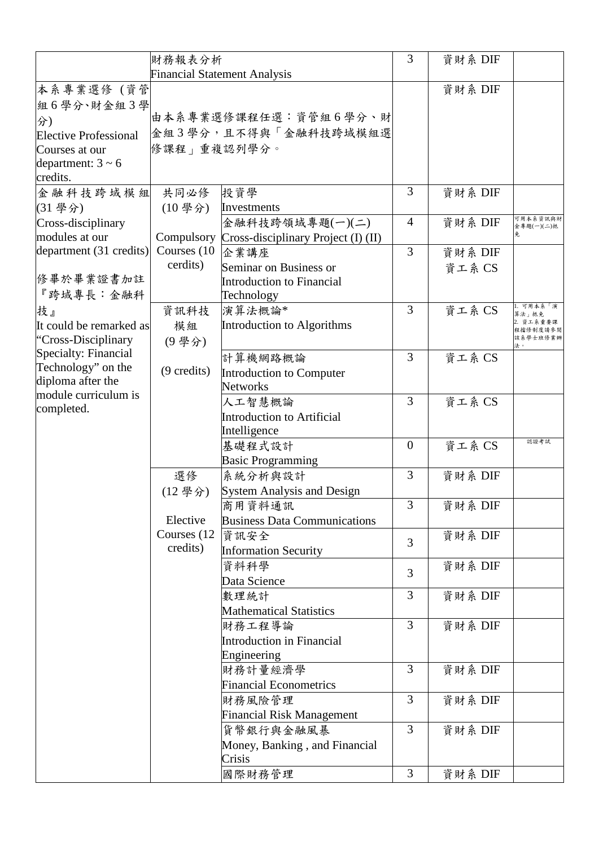|                              | 財務報表分析                              |                                                  | 3              | 資財系 DIF |                        |
|------------------------------|-------------------------------------|--------------------------------------------------|----------------|---------|------------------------|
|                              | <b>Financial Statement Analysis</b> |                                                  |                |         |                        |
| 本系專業選修 (資管                   |                                     |                                                  |                | 資財系 DIF |                        |
| 組6學分、財金組3學                   |                                     |                                                  |                |         |                        |
| 分)                           |                                     | 由本系專業選修課程任選:資管組6學分、財                             |                |         |                        |
| <b>Elective Professional</b> |                                     | 金組3學分,且不得與「金融科技跨域模組選                             |                |         |                        |
| Courses at our               | 修課程 重複認列學分。                         |                                                  |                |         |                        |
| department: $3 \sim 6$       |                                     |                                                  |                |         |                        |
| credits.                     |                                     |                                                  |                |         |                        |
| 金融科技跨域模組 共同必修                |                                     | 投資學                                              | 3              | 資財系 DIF |                        |
| (31 學分)                      | $(10 \frac{\text{#}}{\text{})})$    | Investments                                      |                |         |                        |
| Cross-disciplinary           |                                     | 金融科技跨領域專題(一)(二)                                  | 4              | 資財系 DIF | 可用本系资訊與財<br>金專題(一)(二)抵 |
| modules at our               |                                     | Compulsory   Cross-disciplinary Project (I) (II) |                |         | 免.                     |
| department (31 credits)      | Courses (10)                        | 企業講座                                             | 3              | 資財系 DIF |                        |
|                              | cerdits)                            | Seminar on Business or                           |                | 資工系 CS  |                        |
| 修畢於畢業證書加註                    |                                     | <b>Introduction to Financial</b>                 |                |         |                        |
| 『跨域專長:金融科                    |                                     | Technology                                       |                |         |                        |
| 技』                           | 資訊科技                                | 演算法概論*                                           | $\overline{3}$ | 資工系 CS  | .可用本系「演<br>算法」抵免       |
| It could be remarked as      | 模組                                  | Introduction to Algorithms                       |                |         | 資工系重要課<br>涅擋修制度請參閱     |
| "Cross-Disciplinary          | (9學分)                               |                                                  |                |         | 该系學士班修業辦               |
| Specialty: Financial         |                                     | 計算機網路概論                                          | 3              | 資工系 CS  |                        |
| Technology" on the           | $(9 \text{ credits})$               | Introduction to Computer                         |                |         |                        |
| diploma after the            |                                     | <b>Networks</b>                                  |                |         |                        |
| module curriculum is         |                                     | 人工智慧概論                                           | 3              | 資工系 CS  |                        |
| completed.                   |                                     | <b>Introduction to Artificial</b>                |                |         |                        |
|                              |                                     | Intelligence                                     |                |         |                        |
|                              |                                     | 基礎程式設計                                           | $\overline{0}$ | 資工系 CS  | 認證考試                   |
|                              |                                     | <b>Basic Programming</b>                         |                |         |                        |
|                              | 選修                                  | 系統分析與設計                                          | 3              | 資財系 DIF |                        |
|                              | (12學分)                              | <b>System Analysis and Design</b>                |                |         |                        |
|                              |                                     | 商用資料通訊                                           | 3              | 資財系 DIF |                        |
|                              | Elective                            | <b>Business Data Communications</b>              |                |         |                        |
|                              | Courses (12)                        | 資訊安全                                             |                | 資財系 DIF |                        |
|                              | credits)                            | <b>Information Security</b>                      | $\overline{3}$ |         |                        |
|                              |                                     | 資料科學                                             |                | 資財系 DIF |                        |
|                              |                                     | Data Science                                     | 3              |         |                        |
|                              |                                     | 數理統計                                             | 3              | 資財系 DIF |                        |
|                              |                                     | <b>Mathematical Statistics</b>                   |                |         |                        |
|                              |                                     | 財務工程導論                                           | 3              | 資財系 DIF |                        |
|                              |                                     | <b>Introduction in Financial</b>                 |                |         |                        |
|                              |                                     | Engineering                                      |                |         |                        |
|                              |                                     | 財務計量經濟學                                          | 3              | 資財系 DIF |                        |
|                              |                                     | <b>Financial Econometrics</b>                    |                |         |                        |
|                              |                                     | 財務風險管理                                           | 3              | 資財系 DIF |                        |
|                              |                                     | <b>Financial Risk Management</b>                 |                |         |                        |
|                              |                                     | 貨幣銀行與金融風暴                                        | 3              | 資財系 DIF |                        |
|                              |                                     | Money, Banking, and Financial                    |                |         |                        |
|                              |                                     | Crisis                                           |                |         |                        |
|                              |                                     | 國際財務管理                                           | 3              | 資財系 DIF |                        |
|                              |                                     |                                                  |                |         |                        |